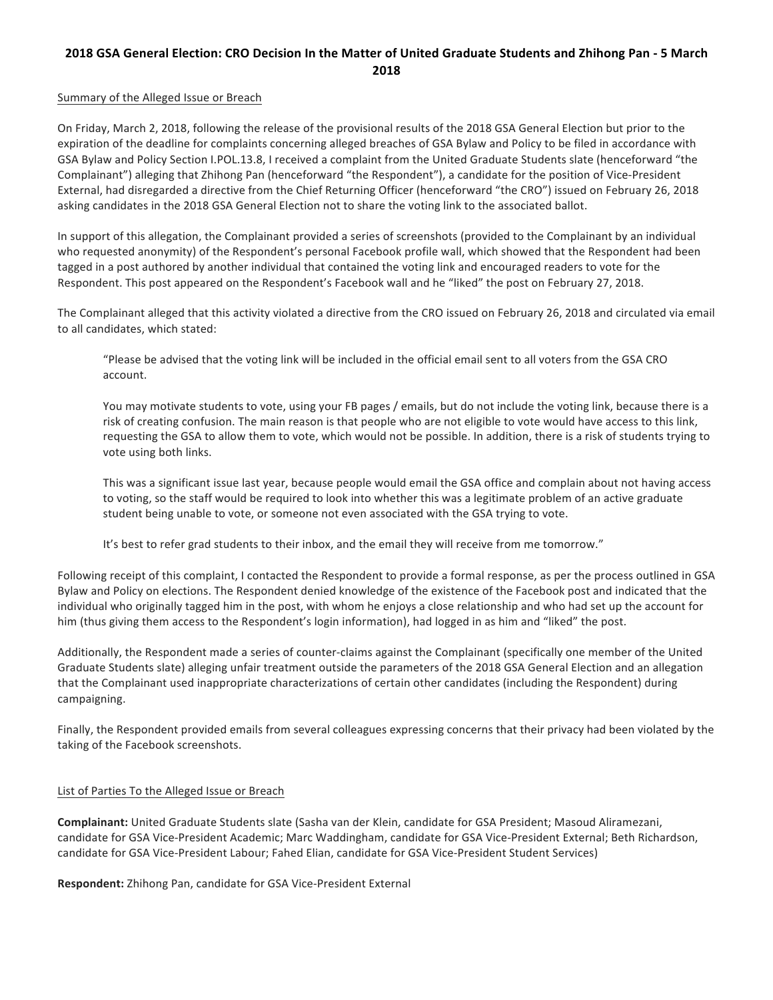# **2018 GSA General Election: CRO Decision In the Matter of United Graduate Students and Zhihong Pan - 5 March 2018**

#### Summary of the Alleged Issue or Breach

On Friday, March 2, 2018, following the release of the provisional results of the 2018 GSA General Election but prior to the expiration of the deadline for complaints concerning alleged breaches of GSA Bylaw and Policy to be filed in accordance with GSA Bylaw and Policy Section I.POL.13.8, I received a complaint from the United Graduate Students slate (henceforward "the Complainant") alleging that Zhihong Pan (henceforward "the Respondent"), a candidate for the position of Vice-President External, had disregarded a directive from the Chief Returning Officer (henceforward "the CRO") issued on February 26, 2018 asking candidates in the 2018 GSA General Election not to share the voting link to the associated ballot.

In support of this allegation, the Complainant provided a series of screenshots (provided to the Complainant by an individual who requested anonymity) of the Respondent's personal Facebook profile wall, which showed that the Respondent had been tagged in a post authored by another individual that contained the voting link and encouraged readers to vote for the Respondent. This post appeared on the Respondent's Facebook wall and he "liked" the post on February 27, 2018.

The Complainant alleged that this activity violated a directive from the CRO issued on February 26, 2018 and circulated via email to all candidates, which stated:

"Please be advised that the voting link will be included in the official email sent to all voters from the GSA CRO account.

You may motivate students to vote, using your FB pages / emails, but do not include the voting link, because there is a risk of creating confusion. The main reason is that people who are not eligible to vote would have access to this link, requesting the GSA to allow them to vote, which would not be possible. In addition, there is a risk of students trying to vote using both links.

This was a significant issue last year, because people would email the GSA office and complain about not having access to voting, so the staff would be required to look into whether this was a legitimate problem of an active graduate student being unable to vote, or someone not even associated with the GSA trying to vote.

It's best to refer grad students to their inbox, and the email they will receive from me tomorrow."

Following receipt of this complaint, I contacted the Respondent to provide a formal response, as per the process outlined in GSA Bylaw and Policy on elections. The Respondent denied knowledge of the existence of the Facebook post and indicated that the individual who originally tagged him in the post, with whom he enjoys a close relationship and who had set up the account for him (thus giving them access to the Respondent's login information), had logged in as him and "liked" the post.

Additionally, the Respondent made a series of counter-claims against the Complainant (specifically one member of the United Graduate Students slate) alleging unfair treatment outside the parameters of the 2018 GSA General Election and an allegation that the Complainant used inappropriate characterizations of certain other candidates (including the Respondent) during campaigning. 

Finally, the Respondent provided emails from several colleagues expressing concerns that their privacy had been violated by the taking of the Facebook screenshots.

### List of Parties To the Alleged Issue or Breach

**Complainant:** United Graduate Students slate (Sasha van der Klein, candidate for GSA President; Masoud Aliramezani, candidate for GSA Vice-President Academic; Marc Waddingham, candidate for GSA Vice-President External; Beth Richardson, candidate for GSA Vice-President Labour; Fahed Elian, candidate for GSA Vice-President Student Services)

**Respondent:** Zhihong Pan, candidate for GSA Vice-President External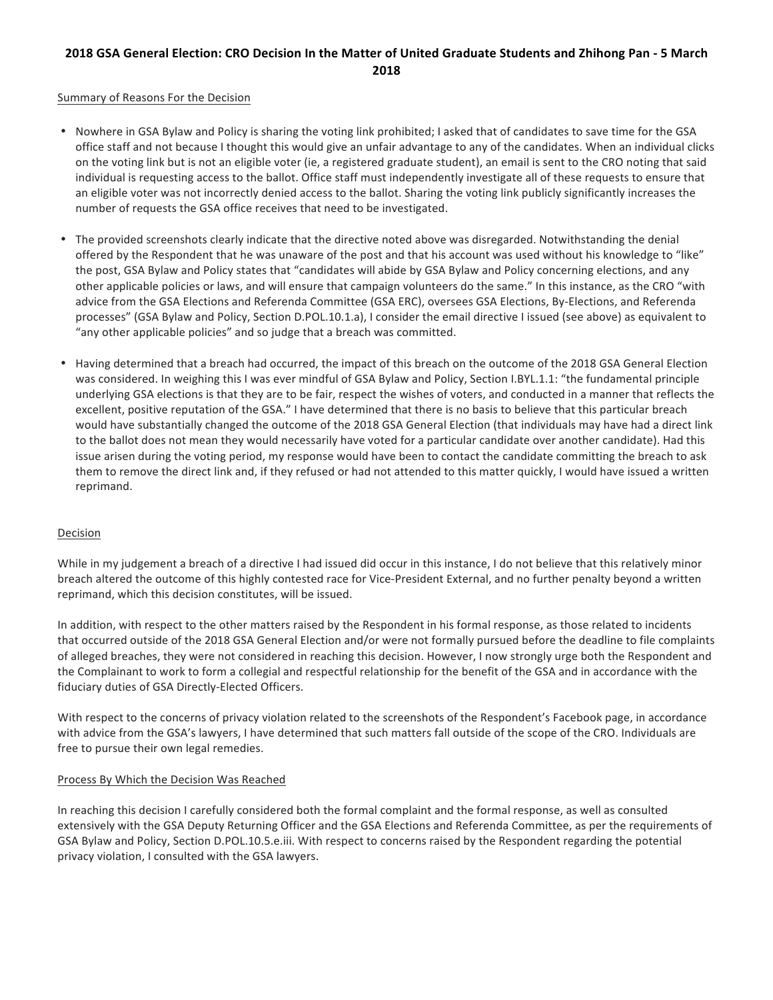# **2018 GSA General Election: CRO Decision In the Matter of United Graduate Students and Zhihong Pan - 5 March 2018**

#### Summary of Reasons For the Decision

- Nowhere in GSA Bylaw and Policy is sharing the voting link prohibited; I asked that of candidates to save time for the GSA office staff and not because I thought this would give an unfair advantage to any of the candidates. When an individual clicks on the voting link but is not an eligible voter (ie, a registered graduate student), an email is sent to the CRO noting that said individual is requesting access to the ballot. Office staff must independently investigate all of these requests to ensure that an eligible voter was not incorrectly denied access to the ballot. Sharing the voting link publicly significantly increases the number of requests the GSA office receives that need to be investigated.
- The provided screenshots clearly indicate that the directive noted above was disregarded. Notwithstanding the denial offered by the Respondent that he was unaware of the post and that his account was used without his knowledge to "like" the post, GSA Bylaw and Policy states that "candidates will abide by GSA Bylaw and Policy concerning elections, and any other applicable policies or laws, and will ensure that campaign volunteers do the same." In this instance, as the CRO "with advice from the GSA Elections and Referenda Committee (GSA ERC), oversees GSA Elections, By-Elections, and Referenda processes" (GSA Bylaw and Policy, Section D.POL.10.1.a), I consider the email directive I issued (see above) as equivalent to "any other applicable policies" and so judge that a breach was committed.
- Having determined that a breach had occurred, the impact of this breach on the outcome of the 2018 GSA General Election was considered. In weighing this I was ever mindful of GSA Bylaw and Policy, Section I.BYL.1.1: "the fundamental principle underlying GSA elections is that they are to be fair, respect the wishes of voters, and conducted in a manner that reflects the excellent, positive reputation of the GSA." I have determined that there is no basis to believe that this particular breach would have substantially changed the outcome of the 2018 GSA General Election (that individuals may have had a direct link to the ballot does not mean they would necessarily have voted for a particular candidate over another candidate). Had this issue arisen during the voting period, my response would have been to contact the candidate committing the breach to ask them to remove the direct link and, if they refused or had not attended to this matter quickly, I would have issued a written reprimand.

#### Decision

While in my judgement a breach of a directive I had issued did occur in this instance, I do not believe that this relatively minor breach altered the outcome of this highly contested race for Vice-President External, and no further penalty beyond a written reprimand, which this decision constitutes, will be issued.

In addition, with respect to the other matters raised by the Respondent in his formal response, as those related to incidents that occurred outside of the 2018 GSA General Election and/or were not formally pursued before the deadline to file complaints of alleged breaches, they were not considered in reaching this decision. However, I now strongly urge both the Respondent and the Complainant to work to form a collegial and respectful relationship for the benefit of the GSA and in accordance with the fiduciary duties of GSA Directly-Elected Officers.

With respect to the concerns of privacy violation related to the screenshots of the Respondent's Facebook page, in accordance with advice from the GSA's lawyers, I have determined that such matters fall outside of the scope of the CRO. Individuals are free to pursue their own legal remedies.

#### Process By Which the Decision Was Reached

In reaching this decision I carefully considered both the formal complaint and the formal response, as well as consulted extensively with the GSA Deputy Returning Officer and the GSA Elections and Referenda Committee, as per the requirements of GSA Bylaw and Policy, Section D.POL.10.5.e.iii. With respect to concerns raised by the Respondent regarding the potential privacy violation, I consulted with the GSA lawyers.